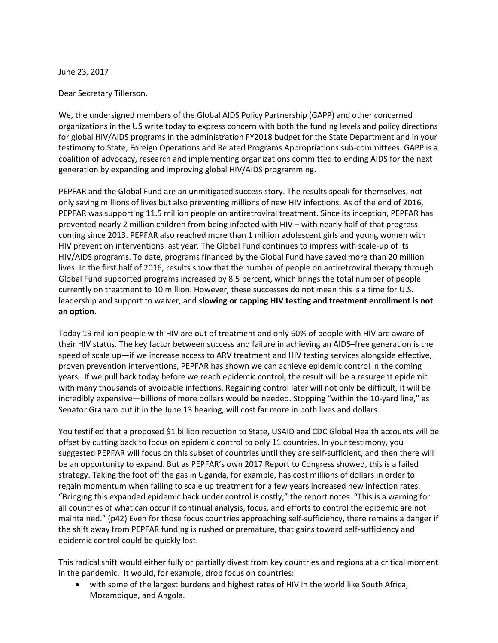June 23, 2017

Dear Secretary Tillerson,

We, the undersigned members of the Global AIDS Policy Partnership (GAPP) and other concerned organizations in the US write today to express concern with both the funding levels and policy directions for global HIV/AIDS programs in the administration FY2018 budget for the State Department and in your testimony to State, Foreign Operations and Related Programs Appropriations sub-committees. GAPP is a coalition of advocacy, research and implementing organizations committed to ending AIDS for the next generation by expanding and improving global HIV/AIDS programming.

PEPFAR and the Global Fund are an unmitigated success story. The results speak for themselves, not only saving millions of lives but also preventing millions of new HIV infections. As of the end of 2016, PEPFAR was supporting 11.5 million people on antiretroviral treatment. Since its inception, PEPFAR has prevented nearly 2 million children from being infected with HIV – with nearly half of that progress coming since 2013. PEPFAR also reached more than 1 million adolescent girls and young women with HIV prevention interventions last year. The Global Fund continues to impress with scale-up of its HIV/AIDS programs. To date, programs financed by the Global Fund have saved more than 20 million lives. In the first half of 2016, results show that the number of people on antiretroviral therapy through Global Fund supported programs increased by 8.5 percent, which brings the total number of people currently on treatment to 10 million. However, these successes do not mean this is a time for U.S. leadership and support to waiver, and **slowing or capping HIV testing and treatment enrollment is not an option**.

Today 19 million people with HIV are out of treatment and only 60% of people with HIV are aware of their HIV status. The key factor between success and failure in achieving an AIDS–free generation is the speed of scale up—if we increase access to ARV treatment and HIV testing services alongside effective, proven prevention interventions, PEPFAR has shown we can achieve epidemic control in the coming years. If we pull back today before we reach epidemic control, the result will be a resurgent epidemic with many thousands of avoidable infections. Regaining control later will not only be difficult, it will be incredibly expensive—billions of more dollars would be needed. Stopping "within the 10-yard line," as Senator Graham put it in the June 13 hearing, will cost far more in both lives and dollars.

You testified that a proposed \$1 billion reduction to State, USAID and CDC Global Health accounts will be offset by cutting back to focus on epidemic control to only 11 countries. In your testimony, you suggested PEPFAR will focus on this subset of countries until they are self-sufficient, and then there will be an opportunity to expand. But as PEPFAR's own 2017 Report to Congress showed, this is a failed strategy. Taking the foot off the gas in Uganda, for example, has cost millions of dollars in order to regain momentum when failing to scale up treatment for a few years increased new infection rates. "Bringing this expanded epidemic back under control is costly," the report notes. "This is a warning for all countries of what can occur if continual analysis, focus, and efforts to control the epidemic are not maintained." (p42) Even for those focus countries approaching self-sufficiency, there remains a danger if the shift away from PEPFAR funding is rushed or premature, that gains toward self-sufficiency and epidemic control could be quickly lost.

This radical shift would either fully or partially divest from key countries and regions at a critical moment in the pandemic. It would, for example, drop focus on countries:

• with some of the largest burdens and highest rates of HIV in the world like South Africa, Mozambique, and Angola.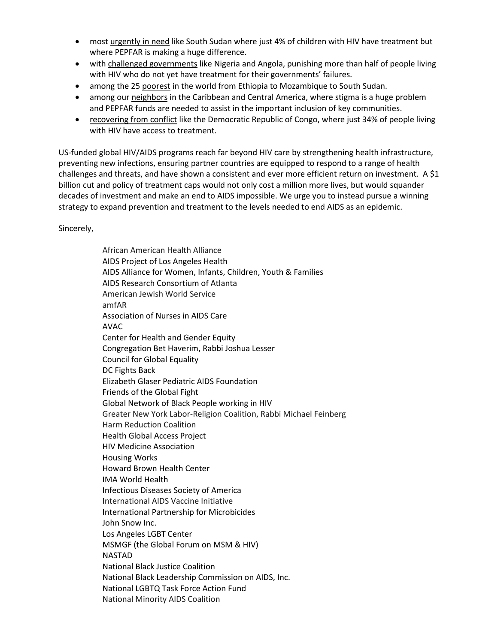- most urgently in need like South Sudan where just 4% of children with HIV have treatment but where PEPFAR is making a huge difference.
- with challenged governments like Nigeria and Angola, punishing more than half of people living with HIV who do not yet have treatment for their governments' failures.
- among the 25 poorest in the world from Ethiopia to Mozambique to South Sudan.
- among our neighbors in the Caribbean and Central America, where stigma is a huge problem and PEPFAR funds are needed to assist in the important inclusion of key communities.
- recovering from conflict like the Democratic Republic of Congo, where just 34% of people living with HIV have access to treatment.

US-funded global HIV/AIDS programs reach far beyond HIV care by strengthening health infrastructure, preventing new infections, ensuring partner countries are equipped to respond to a range of health challenges and threats, and have shown a consistent and ever more efficient return on investment. A \$1 billion cut and policy of treatment caps would not only cost a million more lives, but would squander decades of investment and make an end to AIDS impossible. We urge you to instead pursue a winning strategy to expand prevention and treatment to the levels needed to end AIDS as an epidemic.

Sincerely,

African American Health Alliance AIDS Project of Los Angeles Health AIDS Alliance for Women, Infants, Children, Youth & Families AIDS Research Consortium of Atlanta American Jewish World Service amfAR Association of Nurses in AIDS Care AVAC Center for Health and Gender Equity Congregation Bet Haverim, Rabbi Joshua Lesser Council for Global Equality DC Fights Back Elizabeth Glaser Pediatric AIDS Foundation Friends of the Global Fight Global Network of Black People working in HIV Greater New York Labor-Religion Coalition, Rabbi Michael Feinberg Harm Reduction Coalition Health Global Access Project HIV Medicine Association Housing Works Howard Brown Health Center IMA World Health Infectious Diseases Society of America International AIDS Vaccine Initiative International Partnership for Microbicides John Snow Inc. Los Angeles LGBT Center MSMGF (the Global Forum on MSM & HIV) NASTAD National Black Justice Coalition National Black Leadership Commission on AIDS, Inc. National LGBTQ Task Force Action Fund National Minority AIDS Coalition